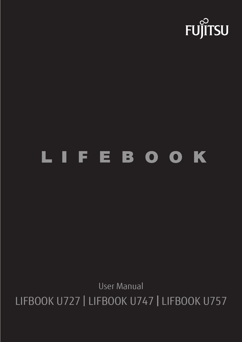

# LIFEBOOK

User Manual LIFBOOK U727 | LIFBOOK U747 | LIFBOOK U757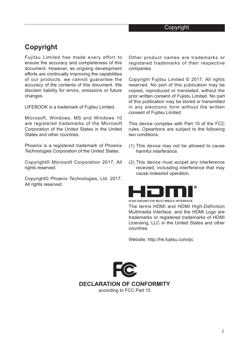## **Copyright**

Fujitsu Limited has made every effort to ensure the accuracy and completeness of this document. However, as ongoing development efforts are continually improving the capabilities of our products, we cannot guarantee the accuracy of the contents of this document. We disclaim liability for errors, omissions or future changes.

LIFEBOOK is a trademark of Fujitsu Limited.

Microsoft, Windows, MS and Windows 10 are registered trademarks of the Microsoft Corporation of the United States in the United States and other countries.

Phoenix is a registered trademark of Phoenix Technologies Corporation of the United States.

Copyright© Microsoft Corporation 2017, All rights reserved.

Copyright© Phoenix Technologies, Ltd. 2017, All rights reserved.

Other product names are trademarks or registered trademarks of their respective companies.

Copyright Fujitsu Limited © 2017. All rights reserved. No part of this publication may be copied, reproduced or translated, without the prior written consent of Fujistu Limited. No part of this publication may be stored or transmitted in any electronic form without the written consent of Fujitsu Limited.

This device complies with Part 15 of the FCC rules. Opeartions are subject to the following two conditions:

- (1) This device may not be allowed to cause harmful interferance.
- (2) This device must accpet any interference recevied, inclusding interference that may cause indesired operation.



HIGH-DEFINITION MULTIMEDIA INTERFACE

The terms HDMI and HDMI High-Definition Multimedia Interface, and the HDMI Logo are trademarks or registered trademarks of HDMI Licensing, LLC in the United States and other countries.

Website: http://hk.fujitsu.com/pc



**DECLARATION OF CONFORMITY**

according to FCC Part 15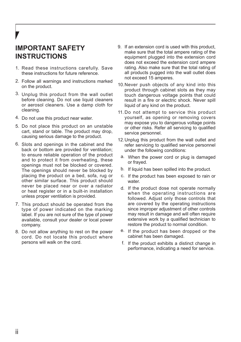## **IMPORTANT SAFETY INSTRUCTIONS**

- 1. Read these instructions carefully. Save these instructions for future reference.
- Follow all warnings and instructions marked 2. on the product.
- 3. Unplug this product from the wall outlet before cleaning. Do not use liquid cleaners or aerosol cleaners. Use a damp cloth for cleaning.
- 4. Do not use this product near water.
- 5. Do not place this product on an unstable cart, stand or table. The product may drop, causing serious damage to the product.
- 6. Slots and openings in the cabinet and the back or bottom are provided for ventilation; to ensure reliable operation of the product and to protect it from overheating, these openings must not be blocked or covered. The openings should never be blocked by placing the product on a bed, sofa, rug or other similar surface. This product should never be placed near or over a radiator or heat register or in a built-in installation unless proper ventilation is provided.
- 7. This product should be operated from the type of power indicated on the marking label. If you are not sure of the type of power available, consult your dealer or local power company.
- 8. Do not allow anything to rest on the power cord. Do not locate this product where persons will walk on the cord.
- 9. If an extension cord is used with this product, make sure that the total ampere rating of the equipment plugged into the extension cord does not exceed the extension cord ampere rating. Also make sure that the total rating of all products pugged into the wall outlet does not exceed 15 amperes.
- 10. Never push objects of any kind into this product through cabinet slots as they may touch dangerous voltage points that could result in a fire or electric shock. Never spill liquid of any kind on the product.
- 11. Do not attempt to service this product yourself, as opening or removing covers may expose you to dangerous voltage points or other risks. Refer all servicing to qualified service personnel.
- 12. Unplug this product from the wall outlet and refer servicing to qualified service personnel under the following conditions:
	- a. When the power cord or plug is damaged or frayed.
- b. If liquid has been spilled into the product.
- c. If the product has been exposed to rain or water
- d. If the product dose not operate normally when the operating instructions are followed. Adjust only those controls that are covered by the operating instructions since improper adjustment of other controls may result in damage and will often require extensive work by a qualified technician to restore the product to normal condition.
- e. If the product has been dropped or the cabinet has been damaged.
- f. If the product exhibits a distinct change in performance, indicating a need for service.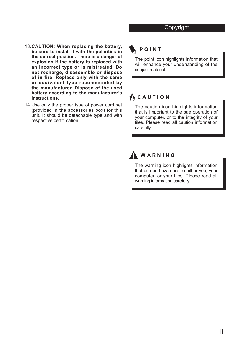- **CAUTION: When replacing the battery,**  13. **be sure to install it with the polarities in the correct position. There is a danger of explosion if the battery is replaced with an incorrect type or is mistreated. Do not recharge, disassemble or dispose of in fire. Replace only with the same or equivalent type recommended by the manufacturer. Dispose of the used battery according to the manufacturer's instructions.**
- Use only the proper type of power cord set 14. (provided in the accessories box) for this unit. It should be detachable type and with respective certifi cation.

## POINT

The point icon highlights information that will enhance your understanding of the subject material.

## WCAUTION

The caution icon highlights information that is important to the sae operation of your computer, or to the integrity of your files. Please read all caution information carefully.



## WARNING

The warning icon highlights information that can be hazardous to either you, your computer, or your files. Please read all warning information carefully.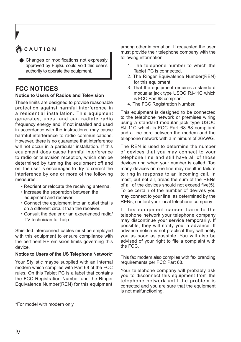## CAUTION

Changes or modifications not expressly approved by Fujitsu could void this user's authority to operate the equipment.

## **FCC NOTICES**

#### **Notice to Users of Radios and Television**

These limits are designed to provide reasonable protection against harmful interference in a residential installation. This equipment generates, uses, and can radiate radio frequency energy and, if not installed and used in accordance with the instructions, may cause harmful interference to radio communications. However, there is no guarantee that interference will not occur in a particular installation. If this equipment does cause harmful interference to radio or television reception, which can be determined by turning the equipment off and on, the user is encouraged to try to correct the interference by one or more of the following measures:

- Reorient or relocate the receiving antenna.
- Increase the separation between the equipment and receiver.
- Connect the equipment into an outlet that is on a different circuit than the receiver.
- Consult the dealer or an experienced radio/ TV technician for help.

Shielded interconnect cables must be employed with this equipment to ensure compliance with the pertinent RF emission limits governing this device.

#### **Notice to Users of the US Telephone Network\***

Your Stylistic maybe supplied with an internal modern which complies with Part 68 of the FCC rules. On this Tablet PC is a label that contains the FCC Registration Number and the Ringer Equivalence Number(REN) for this equipment

among other information. If requested the user must provide their telephone company with the following information:

- 1. The telephone number to which the Tablet PC is connected.
- 2. The Ringer Equivalence Number(REN) for this equipment.
- 3. That the equipment requires a standard modualar jack type USOC RJ-11C which is FCC Part 68 compliant.
- 4. The FCC Registration Number.

This equipment is designed to be connected to the telephone network or premises wiring using a standard modular jack type USOC RJ-11C which is FCC Part 68 68 compliant and a line cord between the modem and the telephone network with a minimum of 26AWG.

The REN is used to determine the number of devices that you may connect to your telephone line and still have all of those devices ring when your number is called. Too many devices on one line may result in failure to ring in response to an incoming call. In most, but not all, areas the sum of the RENs of all of the devices should not exceed five(5). To be certain of the number of devives you may connect to your line, as determined by the RENs, contact your local telephone company.

If this equipment causes harm to the telephone network your telephone company may discontinue your service temporarily. If possible, they will notify you in advance. If advance notice is not practical they will notify you as soon as possible. You will also be advised of your right to file a complaint with the FCC.

This fax modem also complies with fax branding requirements per FCC Part 68.

Your telelphone company will probably ask you to disconnect this equipment from the telephone network until the problem is corrected and you are sure that the equipment is not malfunctioning.

\*For model with modern only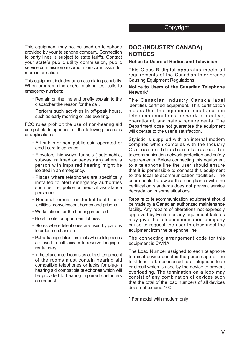This equipment may not be used on telephone provided by your telephone company. Connection to party lines is subject to state tariffs. Contact your state's public utility commission, public service commission or corporation commission for more information.

This equipment includes automatic dialing capability. When programming and/or making test calls to emergency numbers:

- Remain on the line and briefly explain to the dispatcher the reason for the call.
- Perform such activities in off-peak hours, such as early morning or late evening.

FCC rules prohibit the use of non-hearing aid compatible telephones in the following locations or applications:

- All public or semipublic coin-operated or credit card telephones.
- Elevators, highways, tunnels ( automobile, subway, railroad or pedestrian) where a person with impaired hearing might be isolated in an emergency.
- Places where telephones are specifically installed to alert emergency authorities such as fire, police or medical assistance personnel.
- Hospital rooms, residential health care facilities, convalescent homes and prisons.
- Workstations for the hearing impaired.
- Hotel, motel or apartment lobbies.
- Stores where telephones are used by patrons to order merchandise.
- Public transportation terminals where telephones are used to call taxis or to reserve lodging or rental cars.
- In hotel and motel rooms as at least ten percent of the rooms must contain hearing aid compatible telephones or jacks for plug-in hearing aid compatible telephones which will be provided to hearing impaired customers on request.

### **DOC (INDUSTRY CANADA) NOTICES**

#### **Notice to Users of Radios and Television**

This Class B digital apparatus meets all requirements of the Canadian Interference Causing Equipment Regulations.

#### **Notice to Users of the Canadian Telephone Network\***

The Canadian Industry Canada label identifies certified equipment. This certification means that the equipment meets certain telecommunications network protective, operational, and safety requirements. The Department dose not guarantee the equipment will operate to the user's satisfaction.

Stylistic is supplied with an internal modem complies which complies with the Industry Canada certification standards for telecommunication network protection and safety requirements. Before connecting this equipment to a telephone line the user should ensure that it is permissible to connect this equipment to the local telecommunication facilities. The user should be aware that compliance with the certification standards does not prevent service degradation in some situations.

Repairs to telecommunication equipment should be made by a Canadian authorized maintenance facility. Any repairs of alterations not expressly approved by Fujitsu or any equipment failures may give the telecommunication company cause to request the user to disconnect the equipment from the telephone line.

The connecting arrangement code for this equipment is CA11A.

The Load Number assigned to each telephone terminal device denotes the percentage of the total load to be connected to a telephone loop or circuit which is used by the device to prevent overloading. The termination on a loop may consist of any combination of devices such that the total of the load numbers of all devices does not exceed 100.

\* For model with modem only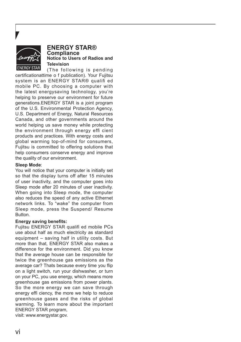

#### **ENERGY STAR® Compliance Notice to Users of Radios and Television**

(The following is pending certificationattime o f publication). Your Fujitsu system is an ENERGY STAR® qualifi ed mobile PC. By choosing a computer with the latest energysaving technology, you're helping to preserve our environment for future generations.ENERGY STAR is a joint program of the U.S. Environmental Protection Agency, U.S. Department of Energy, Natural Resources Canada, and other governments around the world helping us save money while protecting the environment through energy effi cient products and practices. With energy costs and global warming top-of-mind for consumers, Fujitsu is committed to offering solutions that help consumers conserve energy and improve the quality of our environment.

#### **Sleep Mode**:

You will notice that your computer is initially set so that the display turns off after 15 minutes of user inactivity, and the computer goes into Sleep mode after 20 minutes of user inactivity. When going into Sleep mode, the computer also reduces the speed of any active Ethernet network links. To "wake" the computer from Sleep mode, press the Suspend/ Resume Button.

#### **Energy saving benefits:**

Fujitsu ENERGY STAR qualifi ed mobile PCs use about half as much electricity as standard equipment – saving half in utility costs. But more than that, ENERGY STAR also makes a difference for the environment. Did you know that the average house can be responsible for twice the greenhouse gas emissions as the average car? Thats because every time you flip on a light switch, run your dishwasher, or turn on your PC, you use energy, which means more greenhouse gas emissions from power plants. So the more energy we can save through energy effi ciency, the more we help to reduce greenhouse gases and the risks of global warming. To learn more about the important ENERGY STAR program,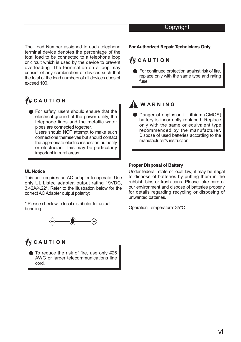#### Copyright

The Load Number assigned to each telephone terminal device denotes the percentage of the total load to be connected to a telephone loop or circuit which is used by the device to prevent overloading. The termination on a loop may consist of any combination of devices such that the total of the load numbers of all devices does ot exceed 100.

## WCAUTION

**•** For safety, users should ensure that the electrical ground of the power utility, the telephone lines and the metallic water pipes are connected together. Users should NOT attempt to make such connections themselves but should contact the appropriate electric inspection authority or electrician. This may be particularly important in rural areas.

#### **UL Notice**

This unit requires an AC adapter to operate. Use only UL Listed adapter, output rating 19VDC, 3.42A/4.22\*. Refer to the illustration below for the correct AC Adapter output polarity:

\* Please check with local distributor for actual bundling.



## **W** CAUTION

● To reduce the risk of fire, use only #26 AWG or larger telecommunications line cord.

#### **For Authorized Repair Technicians Only**

#### WCAUTION

**■** For continued protection against risk of fire replace only with the same type and rating  $f_{\text{II}}$ 

## WARNING

. recommended by the manufacturer. Danger of ecplosion if Lithium (CMOS) battery is incorrectly replaced. Replace only with the same or equivalent type Dispose of used batteries according to the manufacturer's instruction.

#### **Proper Disposal of Battery**

Under federal, state or local law, it may be illegal to dispose of batteries by putting them in the rubbish bins or trash cans. Please take care of our environment and dispose of batteries properly for details regarding recycling or disposing of unwanted batteries.

Operation Temperature: 35°C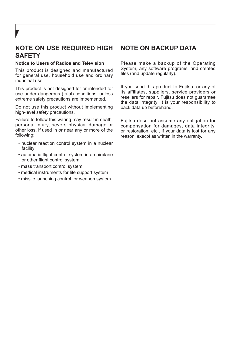## **NOTE ON USE REQUIRED HIGH SAFETY**

#### **Notice to Users of Radios and Television**

This product is designed and manufactured for general use, household use and ordinary industrial use.

This product is not designed for or intended for use under dangerous (fatal) conditions, unless extreme safety precautions are impemented.

Do not use this product without implementing high-level safety precautions.

Failure to follow this waring may result in death. personal injury, severs physical damage or other loss, if used in or near any or more of the following:

- nuclear reaction control system in a nuclear facility
- automatic flight control system in an airplane or other flight control system
- mass transport control system
- medical instruments for life support system
- missile launching control for weapon system

## **NOTE ON BACKUP DATA**

Please make a backup of the Operating System, any software programs, and created files (and update regularly).

If you send this product to Fujitsu, or any of its affiliates, suppliers, service providers or resellers for repair, Fujitsu does not guarantee the data integrity. It is your responsibility to back data up beforehand.

Fujitsu dose not assume any obligation for compensation for damages, data integrity, or restoration, etc., if your data is lost for any reason, execpt as written in the warranty.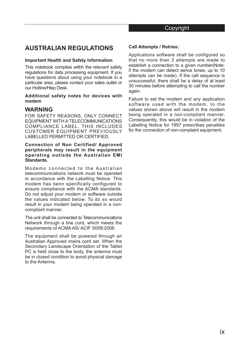## **AUSTRALIAN REGULATIONS**

#### **Important Health and Safety Information**

This notebook complies withh the relevant safety regulations for data processing equipment. If you have questions about using your notebook in a particular area, please contact your sales outlet or our Hotline/Hlep Desk.

#### **Additional safety notes for devices with modem**

## **WARNING**

FOR SAFETY REASONS, ONLY CONNECT EQUIPMENT WITH A TELECOMMUNICATIONS COMPLIANCE LABEL. THIS INCLUDES CUSTOMER EQUIPMENT PREVIOUSLY LABELLED PERMITTED OR CERTIFIED.

#### **Connection of Non Certified/ Approved peripherals may result in the equipment operating outisde the Australian EMI Standards.**

Modems connected to the Australian telecommunications network must be operated in accordance with the Labelling Notice. This modem has benn specifically configured to ensure compliance with the ACMA standards. Do not adjust your modem or software outside the values indicated below. To do so would result in your modem being operated in a noncompliant manner.

The unit shall be connected to Telecommunications Network through a line cord, which meets the requirements of ACMA AS/ ACIF S008:2006.

The equipment shall be powered through an Australian Approved mains cord set. When the Secondary Landscape Orientation of the Tablet PC is held close to the body, the antenna must be in closed condition to avoid physical damage to the Antenna.

#### **Call Attempts / Retries:**

Applications software shall be configured so that no more than 3 attempts are made to establish a connection to a given number(Note: if the modern can detect serice tones, up to 10 attempts can be made). If the call sequence is unsuccessful, there shall be a delay of at least 30 minutes before attempting to call the number again.

Failure to set the modem and any application software used with the modem, to the values shown above will result in the modem being operated in a non-compliant manner. Consequently, this would be in violation of the Labelling Notice for 1997 prescribes penalties for the connection of non-complaint equipment.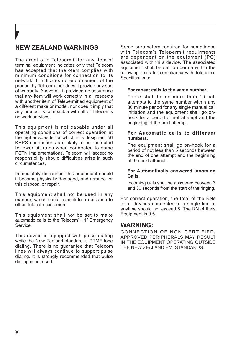## **NEW ZEALAND WARNINGS**

The grant of a Telepermit for any item of terminal equipment indicates only that Telecom has accepted that the otem complies with minimum conditions for connection to its network. It indicates no endorsement of the product by Telecom, nor does it provide any sort of warranty. Above all, it provided no assurance that any item will work correctly in all respects with another item of Telepermitted equipment of a different make or model, nor does it imply that any product is compatible with all of Telecom's network services.

This equipment is not capable under all operating conditions of correct operation at the higher speeds for which it is designed. 56 KBPS connections are likely to be restricted to lower bit rates when connected to some PSTN implementations. Telecom will accept no responsibility should difficulties arise in such circumstances.

Immediately disconnect this equipment should it become physically damaged, and arrange for this disposal or repair.

This equipment shall not be used in any manner, which could constitute a nuisance to other Telecom customers.

This equipment shall not be set to make automatic calls to the Telecom"111" Emergency Service.

This device is equipped with pulse dialing while the New Zealand standard is DTMF tone dialing. There is no guarantee that Telecom lines will always continue to support pulse dialing. It is strongly recommended that pulse dialing is not used.

Some parameters required for compliance with Telecom's Telepermit requirments are dependent on the equipment (PC) associated with thi s device. The associated equipment shall be set to operate within the following limits for compliance with Telecom's Specifications:

#### **For repeat calls to the same number.**

There shall be no more than 10 call attempts to the same number within any 30 minute period for any single manual call initiation and the equipment shall go onhook for a period of not attempt and the beginning of the next attempt.

#### **For Automatic calls to different numbers.**

The equipment shall go on-hook for a period of not less than 5 seconds between the end of one attempt and the beginning of the next attempt.

#### **For Automatically answered Incoming Calls.**

Incoming calls shall be answered between 3 and 30 seconds from the start of the ringing.

For correct operation, the total of the RNs of all devices connected to a single line at anytime should not exceed 5. The RN of theis Equipment is 0.5.

#### **WARNING:**

CONNECTION OF NON CERTIFIED/ APPROVED PERIPHERALS MAY RESULT IN THE EQUIPMENT OPERATING OUTSIDE THE NEW ZEALAND EMI STANDARDS..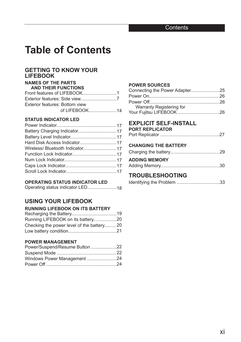## **Table of Contents**

#### **GETTING TO KNOW YOUR LIFEBOOK**

#### **NAMES OF THE PARTS AND THEIR FUNCTIONS**

| AND THEIR FUNCTIONS            |  |
|--------------------------------|--|
|                                |  |
|                                |  |
| Exterior features: Bottom view |  |
| of LIFEBOOK14                  |  |
|                                |  |

#### **STATUS INDICATOR LED**

#### **OPERATING STATUS INDICATOR LED**

|--|--|

#### **USING YOUR LIFEBOOK**

#### **RUNNING LIFEBOOK ON ITS BATTERY**

| Checking the power level of the battery20 |  |
|-------------------------------------------|--|
|                                           |  |

#### **POWER MANAGEMENT**

| Power/Suspend/Resume Button 22 |  |
|--------------------------------|--|
|                                |  |
| Windows Power Management 24    |  |
|                                |  |

#### **POWER SOURCES**

| Connecting the Power Adapter25 |  |
|--------------------------------|--|
|                                |  |
|                                |  |
| Warranty Registering for       |  |
|                                |  |

## **EXPLICIT SELF-INSTALL**

#### **PORT REPLICATOR**

|--|--|--|

#### **CHANGING THE BATTERY**

#### **ADDING MEMORY** Adding Memory..............................................30

#### **TROUBLESHOOTING**

|--|--|--|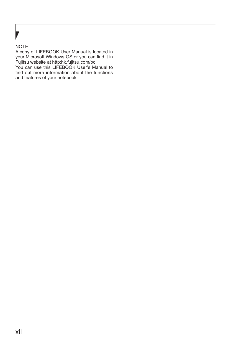#### NOTE:

A copy of LIFEBOOK User Manual is located in your Microsoft Windows OS or you can find it in Fujitsu website at http:hk.fujitsu.com/pc.

You can use this LIFEBOOK User's Manual to find out more information about the functions and features of your notebook.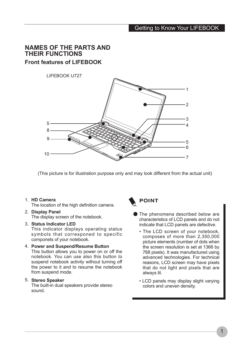## **NAMES OF THE PARTS AND THEIR FUNCTIONS Front features of LIFEBOOK**



(This picture is for illustration purpose only and may look different from the actual unit)

#### **HD Camera** 1.

The location of the high definition camera.

#### **Display Panel** 2.

The display screen of the notebook.

#### **Status Indicator LED** 3.

This indicator displays operating status symbols that corresponed to specific componets of your notebook.

#### **Power and Suspend/Resume Button** 4.

This button allows you to power on or off the notebook. You can use also this button to suspend notebook activity without turning off the power to it and to resume the notebook from suspend mode.

#### **Stereo Speaker** 5.

The built-in dual speakers provide stereo sound.



## **POINT**

- The phenomena described below are characteristics of LCD panels and do not indicate that LCD panels are defective.
	- The LCD screen of your notebook, composes of more than 2,350,000 picture elements (number of dots when the screen resolution is set at 1366 by 768 pixels). It was manufactured using advanced technologies. For technical reasons, LCD screen may have pixels that do not light and pixels that are always lit.
	- LCD panels may display slight varying colors and uneven density.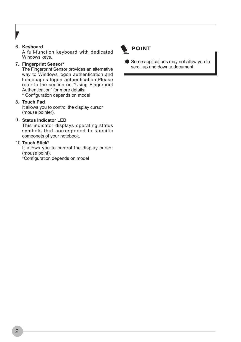#### 6. **Keyboard**

A full-function keyboard with dedicated Windows keys.

#### **Fingerprint Sensor\*** 7.

The Fingerprint Sensor provides an alternative way to Windows logon authentication and homepages logon authentication.Please refer to the section on "Using Fingerprint Authentication" for more details.

\* Configuration depends on model

#### **Touch Pad** 8.

It allows you to control the display cursor (mouse pointer).

#### **Status Indicator LED** 9.

This indicator displays operating status symbols that corresponed to specific componets of your notebook.

#### **Touch Stick\*** 10.

It allows you to control the display cursor (mouse point).

\*Configuration depends on model



Some applications may not allow you to scroll up and down a document.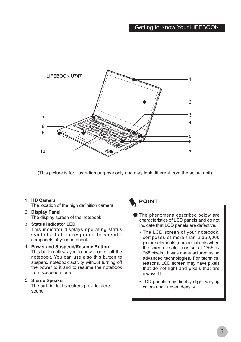

(This picture is for illustration purpose only and may look different from the actual unit)

#### **HD Camera** 1.

The location of the high definition camera.

#### **Display Panel** 2.

The display screen of the notebook.

#### **Status Indicator LED** 3.

This indicator displays operating status symbols that corresponed to specific componets of your notebook.

#### **Power and Suspend/Resume Button** 4.

This button allows you to power on or off the notebook. You can use also this button to suspend notebook activity without turning off the power to it and to resume the notebook from suspend mode.

#### **Stereo Speaker** 5.

The built-in dual speakers provide stereo sound.



- The phenomena described below are characteristics of LCD panels and do not indicate that LCD panels are defective.
	- The LCD screen of your notebook, composes of more than 2,350,000 picture elements (number of dots when the screen resolution is set at 1366 by 768 pixels). It was manufactured using advanced technologies. For technical reasons, LCD screen may have pixels that do not light and pixels that are always lit.
	- LCD panels may display slight varying colors and uneven density.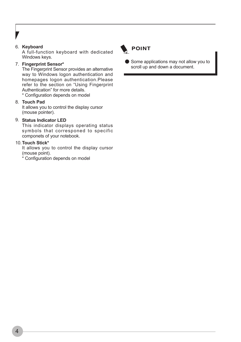#### 6. **Keyboard**

A full-function keyboard with dedicated Windows keys.

#### **Fingerprint Sensor\*** 7.

The Fingerprint Sensor provides an alternative way to Windows logon authentication and homepages logon authentication.Please refer to the section on "Using Fingerprint Authentication" for more details.

\* Configuration depends on model

#### **Touch Pad** 8.

It allows you to control the display cursor (mouse pointer).

#### **Status Indicator LED** 9.

This indicator displays operating status symbols that corresponed to specific componets of your notebook.

#### **Touch Stick\*** 10.

It allows you to control the display cursor (mouse point).

\* Configuration depends on model



Some applications may not allow you to scroll up and down a document.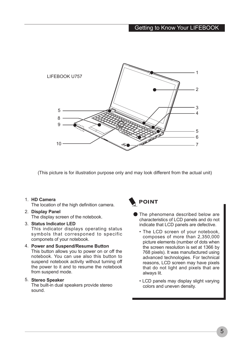

(This picture is for illustration purpose only and may look different from the actual unit)

#### **HD Camera** 1.

The location of the high definition camera.

#### **Display Panel** 2.

The display screen of the notebook.

#### **Status Indicator LED** 3.

This indicator displays operating status symbols that corresponed to specific componets of your notebook.

#### **Power and Suspend/Resume Button** 4.

This button allows you to power on or off the notebook. You can use also this button to suspend notebook activity without turning off the power to it and to resume the notebook from suspend mode.

#### **Stereo Speaker** 5.

The built-in dual speakers provide stereo sound.



## **POINT**

- The phenomena described below are characteristics of LCD panels and do not indicate that LCD panels are defective.
	- The LCD screen of your notebook, composes of more than 2,350,000 picture elements (number of dots when the screen resolution is set at 1366 by 768 pixels). It was manufactured using advanced technologies. For technical reasons, LCD screen may have pixels that do not light and pixels that are always lit.
	- LCD panels may display slight varying colors and uneven density.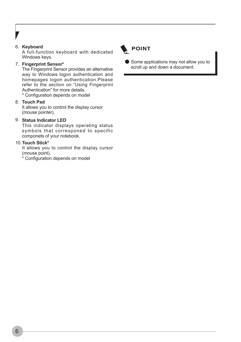#### 6. **Keyboard**

A full-function keyboard with dedicated Windows keys.

#### **Fingerprint Sensor\*** 7.

The Fingerprint Sensor provides an alternative way to Windows logon authentication and homepages logon authentication.Please refer to the section on "Using Fingerprint Authentication" for more details.

\* Configuration depends on model

#### **Touch Pad** 8.

It allows you to control the display cursor (mouse pointer).

#### **Status Indicator LED** 9.

This indicator displays operating status symbols that corresponed to specific componets of your notebook.

#### **Touch Stick\*** 10.

It allows you to control the display cursor (mouse point).

\* Configuration depends on model



● Some applications may not allow you to scroll up and down a document.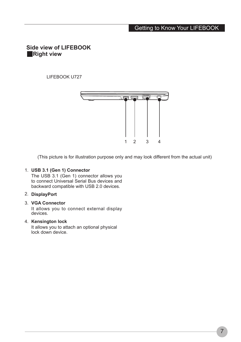#### Getting to Know Your LIFEBOOK

#### **Side view of LIFEBOOK** ■**Right view**

LIFEBOOK U727



(This picture is for illustration purpose only and may look different from the actual unit)

#### **USB 3.1 (Gen 1) Connector** 1.

The USB 3.1 (Gen 1) connector allows you to connect Universal Serial Bus devices and backward compatible with USB 2.0 devices.

#### **DisplayPort** 2.

#### **VGA Connector** 3.

It allows you to connect external display devices.

#### **Kensington lock** 4.

It allows you to attach an optional physical lock down device.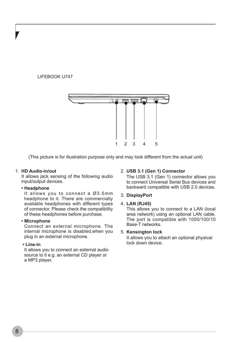#### LIFEBOOK U747



(This picture is for illustration purpose only and may look different from the actual unit)

#### **HD Audio-in/out** 1.

It allows jack sensing of the following audio input/output devices.

#### **• Headphone**

It allows you to connect a Ø3.5mm headphone to it. There are commercially available headphones with different types of connector. Please check the compatibility of these headphones before purchase.

#### **• Microphone**

Connect an external microphone. The internal microphone is disabled,when you plug in an external microphone.

#### **• Line-in**

It allows you to connect an external audio source to it e.g. an external CD player or a MP3 player.

#### **USB 3.1 (Gen 1) Connector** 2.

The USB 3.1 (Gen 1) connector allows you to connect Universal Serial Bus devices and backward compatible with USB 2.0 devices.

#### **DisplayPort** 3.

#### **LAN (RJ45)** 4.

This allows you to connect to a LAN (local area network) using an optional LAN cable. The port is compatible with 1000/100/10 Base-T networks.

#### **Kensington lock** 5.

It allows you to attach an optional physical lock down device.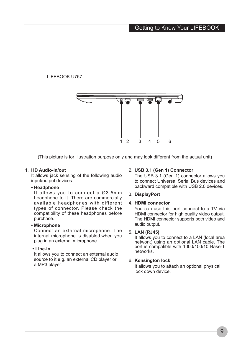#### LIFEBOOK U757



(This picture is for illustration purpose only and may look different from the actual unit)

#### **HD Audio-in/out** 1.

It allows jack sensing of the following audio input/output devices.

#### **• Headphone**

It allows you to connect a Ø3.5mm headphone to it. There are commercially available headphones with different types of connector. Please check the compatibility of these headphones before purchase.

#### **• Microphone**

Connect an external microphone. The internal microphone is disabled,when you plug in an external microphone.

#### **• Line-in**

It allows you to connect an external audio source to it e.g. an external CD player or a MP3 player.

#### **USB 3.1 (Gen 1) Connector** 2.

The USB 3.1 (Gen 1) connector allows you to connect Universal Serial Bus devices and backward compatible with USB 2.0 devices.

#### **DisplayPort** 3.

#### **HDMI connector** 4.

You can use this port connect to a TV via HDMI connector for high quality video output. The HDMI connector supports both video and audio output.

#### **LAN (RJ45)** 5.

It allows you to connect to a LAN (local area network) using an optional LAN cable. The port is compatible with 1000/100/10 Base-T networks.

#### **Kensington lock** 6.

It allows you to attach an optional physical lock down device.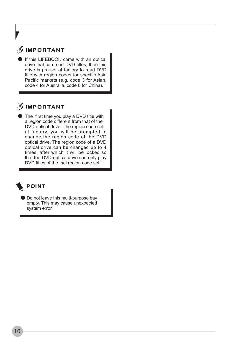## **IMPORTANT**

If this LIFEBOOK come with an optical drive that can read DVD titles, then this drive is pre-set at factory to read DVD title with region codes for specific Asia Pacific markets (e.g. code 3 for Asian, code 4 for Australia, code 6 for China).

## **SIMPORTANT**

The first time you play a DVD title with a region code different from that of the DVD optical drive - the region code set at factory, you will be prompted to change the region code of the DVD optical drive. The region code of a DVD optical drive can be changed up to 4 times, after which it will be locked so that the DVD optical drive can only play DVD titles of the nal region code set."



#### **POINT**

Do not leave this multi-purpose bay empty. This may cause unexpected system error.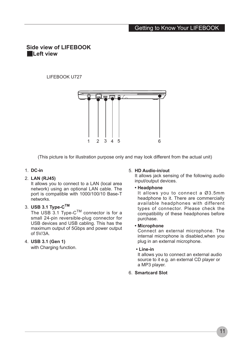#### Getting to Know Your LIFEBOOK

#### **Side view of LIFEBOOK** ■**Left view**

#### LIFEBOOK U727



(This picture is for illustration purpose only and may look different from the actual unit)

#### **DC-in** 1.

#### **LAN (RJ45)** 2.

It allows you to connect to a LAN (local area network) using an optional LAN cable. The port is compatible with 1000/100/10 Base-T networks.

#### **USB 3.1 Type-CTM** 3.

The USB 3.1 Type- $C^{TM}$  connector is for a small 24-pin reversible-plug connector for USB devices and USB cabling. This has the maximum output of 5Gbps and power output of 5V/3A.

#### **USB 3.1 (Gen 1)**  4.

with Charging function.

#### **HD Audio-in/out** 5.

It allows jack sensing of the following audio input/output devices.

#### **• Headphone**

It allows you to connect a Ø3.5mm headphone to it. There are commercially available headphones with different types of connector. Please check the compatibility of these headphones before purchase.

#### **• Microphone**

Connect an external microphone. The internal microphone is disabled,when you plug in an external microphone.

#### **• Line-in**

It allows you to connect an external audio source to it e.g. an external CD player or a MP3 player.

**Smartcard Slot** 6.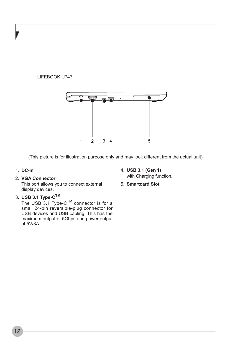#### LIFEBOOK U747



(This picture is for illustration purpose only and may look different from the actual unit)

#### **DC-in** 1.

#### **VGA Connector** 2.

This port allows you to connect external display devices.

#### **USB 3.1 Type-CTM** 3.

The USB 3.1 Type- $C^{TM}$  connector is for a small 24-pin reversible-plug connector for USB devices and USB cabling. This has the maximum output of 5Gbps and power output of 5V/3A.

- **USB 3.1 (Gen 1)**  4. with Charging function.
- **Smartcard Slot** 5.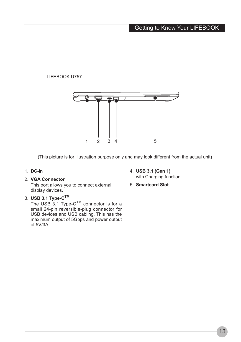#### LIFEBOOK U757



(This picture is for illustration purpose only and may look different from the actual unit)

#### **DC-in**  1.

#### **VGA Connector** 2.

This port allows you to connect external display devices.

#### **USB 3.1 Type-CTM** 3.

The USB 3.1 Type- $C^{TM}$  connector is for a small 24-pin reversible-plug connector for USB devices and USB cabling. This has the maximum output of 5Gbps and power output of 5V/3A.

- **USB 3.1 (Gen 1)**  4. with Charging function.
- **Smartcard Slot** 5.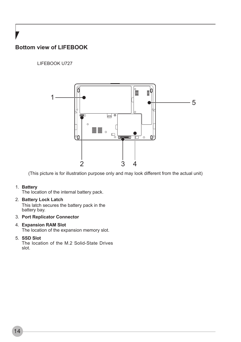## **Bottom view of LIFEBOOK**

#### LIFEBOOK U727



(This picture is for illustration purpose only and may look different from the actual unit)

#### **Battery** 1.

The location of the internal battery pack.

#### **Battery Lock Latch** 2.

This latch secures the battery pack in the battery bay.

#### **Port Replicator Connector** 3.

#### **Expansion RAM Slot** 4.

The location of the expansion memory slot.

#### **SSD Slot** 5.

The location of the M.2 Solid-State Drives slot.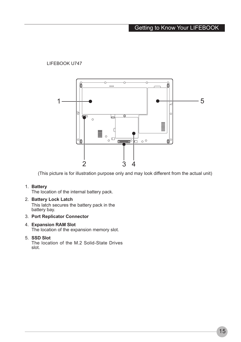#### LIFEBOOK U747



(This picture is for illustration purpose only and may look different from the actual unit)

#### **Battery** 1.

The location of the internal battery pack.

- **Battery Lock Latch** 2. This latch secures the battery pack in the battery bay.
- **Port Replicator Connector** 3.

#### **Expansion RAM Slot** 4.

The location of the expansion memory slot.

#### **SSD Slot** 5.

The location of the M.2 Solid-State Drives slot.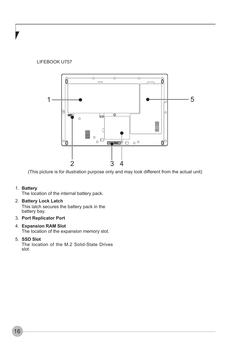#### LIFEBOOK U757



(This picture is for illustration purpose only and may look different from the actual unit)

#### **Battery** 1.

The location of the internal battery pack.

- **Battery Lock Latch** 2. This latch secures the battery pack in the battery bay.
- **Port Replicator Port** 3.

## **Expansion RAM Slot** 4.

The location of the expansion memory slot.

#### **SSD Slot** 5.

The location of the M.2 Solid-State Drives slot.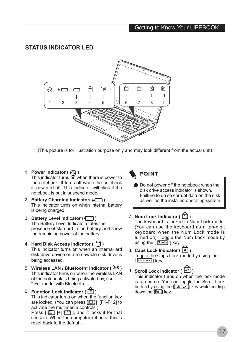#### **STATUS INDICATOR LED**



(This picture is for illustration purpose only and may look different from the actual unit)

1. Power Indicator ( $\textcircled{1}$ )

This indicator turns on when there is power to the notebook. It turns off when the notebook is powered off. This indicator will blink if the notebook is put in suspend mode.

- **Battery Charging Indicator( )** 2. This indicator turns on when internal battery is being charged.
- **Battery Level Indicator (** $\Box$ **)** The Battery Level Indicator states the presence of stardard Li-ion battery and show the remaining power of the battery.
- 4. Hard Disk Access Indicator(〇) This indicator turns on when an internal ard disk drive device or a removable disk drive is being accessed.
- **Wireless LAN / Bluetooth\* Indicator ( )** 5. This indicator turns on when the wireless LAN of the notebook is being activated by, user. \* For model with Bluetooth
- $^6$ . Function Lock Indicator (  $\overline{\boxdot}$  ) This indicator turns on when the function key are locked. (You can press [[[11]+[F1-F12] to activate the multimedia controls.) Press  $\begin{bmatrix} \boxed{6} \end{bmatrix}$  |+ $\begin{bmatrix} \boxed{6} \end{bmatrix}$  |, and it locks it for that session. When the computer reboots, this is reset back to the defaul t.

## **POINT**

 $\bullet$  Do not power off the notebook when the disk drive access indicator is shown. Failture to do so corrupt data on the disk as well as the installed operating system.

#### 7. Num Lock Indicator ( $\lfloor \frac{1}{2} \rfloor$ )

The keyboard is locked in Num Lock mode. (You can use the keyboard as a ten-digit keyboard when the Num Lock mode is turned on). Toggle the Num Lock mode by using the  $\sqrt{\text{NumIN}}$  | key.

- 8. Caps Lock Indicator ( $[A]$ ) Toggle the Caps Lock mode by using the  $[$   $\sqrt{$   $\sqrt{$  caps Lock  $\sqrt{ }$   $\sqrt{ }$   $\sqrt{ }$   $\sqrt{ }$   $\sqrt{ }$   $\sqrt{ }$   $\sqrt{ }$   $\sqrt{ }$   $\sqrt{ }$   $\sqrt{ }$   $\sqrt{ }$   $\sqrt{ }$   $\sqrt{ }$   $\sqrt{ }$   $\sqrt{ }$   $\sqrt{ }$   $\sqrt{ }$   $\sqrt{ }$   $\sqrt{ }$   $\sqrt{ }$   $\sqrt{ }$   $\sqrt{ }$   $\sqrt{ }$   $\sqrt{ }$   $\sqrt{ }$   $\sqrt{ }$   $\sqrt{ }$   $\sqrt{ }$
- **Scroll Lock Indicator (** $\leftarrow$ **1)** This indicator turns on when the lock mode is turned on. You can toggle the Scroll Lock button by using the  $[$   $\sqrt{$  Scr Lk $]$  key while holding down the **independent** key.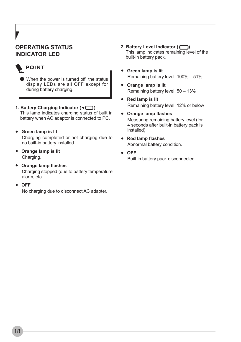## **OPERATING STATUS INDICATOR LED**

## **POINT**

- When the power is turned off, the status display LEDs are all OFF except for during battery charging.
- **1. Battery Charging Indicator ( )** This lamp indicates charging status of built in battery when AC adaptor is connected to PC.
- **Green lamp is lit** Charging completed or not charging due to no built-in battery installed.
- **Orange lamp is lit** Charging.
- **Orange lamp flashes** Charging stopped (due to battery temperature alarm, etc.
- **OFF**

No charging due to disconnect AC adapter.

- **2. Battery Level Indicator ( )**  This lamp indicates remaining level of the built-in battery pack.
- **Green lamp is lit** Remaining battery level: 100% – 51%
- **Orange lamp is lit** Remaining battery level: 50 – 13%
- **Red lamp is lit** Remaining battery level: 12% or below
- **Orange lamp flashes** Measuring remaining battery level (for 4 seconds after built-in battery pack is installed)
- **Red lamp flashes** Abnormal battery condition.
- **OFF** Built-in battery pack disconnected.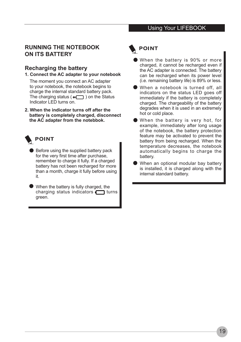#### Using Your LIFEBOOK

#### **RUNNING THE NOTEBOOK ON ITS BATTERY**

#### **Recharging the battery**

#### **1. Connect the AC adapter to your notebook**

The moment you connect an AC adapter to your notebook, the notebook begins to charge the internal standard battery pack. The charging status ( $\rightarrow \rightarrow$ ) on the Status Indicator LED turns on.

**2. When the indicator turns off after the battery is completely charged, disconnect the AC adapter from the notebbok.**



- Before using the supplied battery pack for the very first time after purchase, remember to charge it fully. If a charged battery has not been recharged for more than a month, charge it fully before using it.
- When the battery is fully charged, the charging status indicators  $\Box$  turns green.

## **POINT**

- When the battery is 90% or more charged, it cannot be recharged even if the AC adapter is connected. The battery can be recharged when its power level (i.e. remaining battery life) is 89% or less.
- When a notebook is turned off, all indicators on the status LED goes off immediately if the battery is completely charged. The chargeability of the battery degrades when it is used in an extremely hot or cold place.
- When the battery is very hot, for example, immediately after long usage of the notebook, the battery protection feature may be activated to prevent the battery from being recharged. When the temperature decreases, the notebook automatically begins to charge the battery.
- When an optional modular bay battery is installed, it is charged along with the internal standard battery.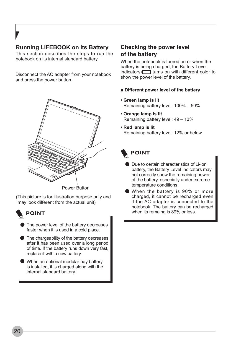#### **Running LIFEBOOK on its Battery**

This section describes the steps to run the notebook on its internal standard battery.

Disconnect the AC adapter from your notebook and press the power button.



Power Button

(This picture is for illustration purpose only and may look different from the actual unit)

- **POINT** 
	- The power level of the battery decreases faster when it is used in a cold place.
	- The chargeability of the battery decreases after it has been used over a long period of time. If the battery runs down very fast, replace it with a new battery.
	- When an optional modular bay battery is installed, it is charged along with the internal standard battery.

#### **Checking the power level of the battery**

When the notebook is turned on or when the battery is being charged, the Battery Level  $indicators$   $\Box$  turns on with different color to show the power level of the battery.

- **Different power level of the battery**
- **Green lamp is lit** Remaining battery level: 100% – 50%
- **Orange lamp is lit** Remaining battery level: 49 – 13%
- **Red lamp is lit** Remaining battery level: 12% or below

## **POINT**

- Due to certain characteristics of Li-ion battery, the Battery Level Indicators may not correctly show the remaining power of the battery, especially under extreme temperature conditions.
- When the battery is 90% or more charged, it cannot be recharged even if the AC adapter is connected to the notebook. The battery can be recharged when its remaing is 89% or less.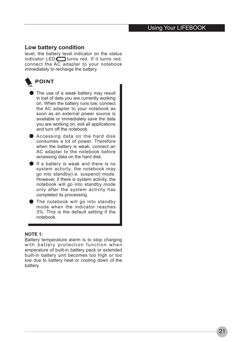#### Using Your LIFEBOOK

#### **Low battery condition**

level, the battery level indicator on the status indicator  $LED \fbox{1}$  turns red. If it turns red, connect the AC adapter to your notebook immediately to recharge the battery.



- The use of a weak battery may result in lost of data you are currently working on. When the battery runs low, connect the AC adapter to your notebook as soon as an external power source is available or immediately save the data you are working on, exit all applications and turn off the notebook.
- Accessing data on the hard disk consumes a lot of power. Therefore when the battery is weak, connect an AC adapter to the notebook before accessing data on the hard disk.
- $\bullet$  If a battery is weak and there is no system activity, the notebook may go into standby(i.e. suspend) mode. However, if there is system activity, the notebook will go into standby mode only after the system activity has completed its processing.
- The notebook will go into standby mode when the indicator reaches 3%. This is the default setting if the notebook.

#### **NOTE 1:**

Battery temperature alarm is to stop charging with battery protection function when emperature of built-in battery pack or extended built-in battery unit becomes too high or too low due to battery heat or cooling down of the battery.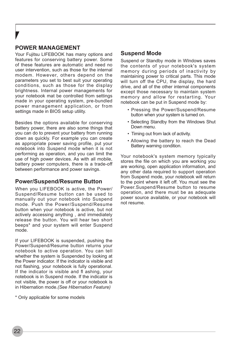### **POWER MANAGEMENT**

Your Fujitsu LIFEBOOK has many options and features for conserving battery power. Some of these features are automatic and need no user intervention, such as those for the internal modem. However, others depend on the parameters you set to best suit your operating conditions, such as those for the display brightness. Internal power managements for your notebook mat be controlled from settings made in your operating system, pre-bundled power management application, or from settings made in BIOS setup utility.

Besides the options available for conserving battery power, there are also some things that you can do to prevent your battery from running down as quickly. For example you can create as appropriate power saving profile, put your notebook into Suspend mode when it is not performing as operation, and you can limit the use of high power devices. As with all mobile, battery power computers, there is a trade-off between performance and power savings.

#### **Power/Suspend/Resume Button**

When you LIFEBOOK is active, the Power/ Suspend/Resume button can be used to manually out your notebook into Suspend mode. Push the Power/Suspend/Resume button when your notebook is active, but not actively accessing anything , and immediately release the button. You will hear two short beeps\* and your system will enter Suspend mode.

If your LIFEBOOK is suspended, pushing the Power/Suspend/Resume button returns your notebook to active operation. You can tell whether the system is Suspended by looking at the Power indicator. If the indicator is visible and not flashing, your notebook is fully operational. If the indicator is visible and fl ashing, your notebook is in Suspend mode. If the indicator is not visible, the power is off or your notebook is in Hibernation mode.*(See Hibernation Feature)*

\* Only applicable for some models

#### **Suspend Mode**

Suspend or Standby mode in WIndows saves the contents of your notebook's system memory during periods of inactivity by maintaining power to critical parts. This mode will turn off the CPU, the display, the hard drive, and all of the other internal components except those necessary to maintain system memory and allow for restarting. Your notebook can be put in Suspend mode by:

- Pressing the Power/Suspend/Resume button when your system is turned on.
- Selecting Standby from the Windows Shut Down menu
- Timing out from lack of activity.
- Allowing the battery to reach the Dead Battery warning condition.

Your notebook's system memory typically stores the file on which you are working you are working, open application information, and any other data required to support operation from Suspend mode, your notebook will return to the point where it left off. You must see the Power.Suspend/Resume button to resume operation, and there must be as adequate power source available, or your notebook will not resume.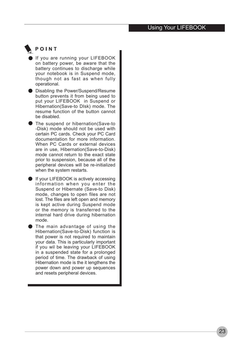#### Using Your LIFEBOOK

## POINT

- If you are running your LIFEBOOK on battery power, be aware that the battery continues to discharge while your notebook is in Suspend mode, though not as fast as when fully operational.
- Disabling the Power/Suspend/Resume button prevents it from being used to put your LIFEBOOK in Suspend or Hibernation(Save-to DIsk) mode. The resume function of the button cannot be disabled.
- The suspend or hibernation(Save-to -Disk) mode should not be used with certain PC cards. Check your PC Card documentation for more information. When PC Cards or external devices are in use, Hibernation(Save-to-Disk) mode cannot return to the exact state prior to suspension, because all of the peripheral devices will be re-initialized when the system restarts.
- If your LIFEBOOK is actively accessing information when you enter the Suspend or Hibernate (Save-to Disk) mode, changes to open files are not lost. The files are left open and memory is kept active during Suspend mode or the memory is transferred to the internal hard drive during hibernation mode.
- The main advantage of using the Hibernation(Save-to-Disk) function is that power is not required to maintain your data. This is particularly important if you wil be leaving your LIFEBOOK in a suspended state for a prolonged period of time. The drawback of using Hibernation mode is the it lengthens the power down and power up sequences and resets peripheral devices.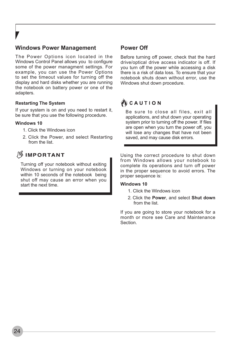#### **Windows Power Management**

The Power Options icon located in the Windows Control Panel allows you to configure some of the power managment settings. For example, you can use the Power Options to set the timeout values for turning off the display and hard disks whether you are running the notebook on battery power or one of the adapters.

#### **Restarting The System**

If your system is on and you need to restart it, be sure that you use the following procedure.

#### **Windows 10**

- 1. Click the Windows icon
- 2. Click the Power, and select Restarting from the list.

## **SIMPORTANT**

Turning off your notebook without exiting Windows or turning on your notebook within 10 seconds of the notebook being shut off may cause an error when you start the next time.

#### **Power Off**

Before turning off power, check that the hard drive/optical drive access indicator is off. If you turn off the power while accessing a disk there is a risk of data loss. To ensure that your notebook shuts down without error, use the Windows shut down procedure.

## **∛** САUТІО N

Be sure to close all files, exit all applications, and shut down your operating system prior to turning off the power. If files are open when you turn the power off, you will lose any changes that have not been saved, and may cause disk errors.

Using the correct procedure to shut down from Windows allows your notebook to complete its operations and turn off power in the proper sequence to avoid errors. The proper sequence is:

#### **Windows 10**

- 1. Click the Windows icon
- 2. Click the **Power**, and select **Shut down**  from the list.

If you are going to store your notebook for a month or more see Care and Maintenance Section.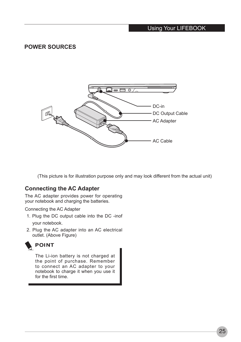#### Using Your LIFEBOOK

#### **POWER SOURCES**



(This picture is for illustration purpose only and may look different from the actual unit)

#### **Connecting the AC Adapter**

The AC adapter provides power for operating your notebook and charging the batteries.

Connecting the AC Adapter

- 1. Plug the DC output cable into the DC -inof your notebook.
- 2. Plug the AC adapter into an AC electrical outlet. (Above Figure)



The Li-ion battery is not charged at the point of purchase. Remember to connect an AC adapter to your notebook to charge it when you use it for the first time.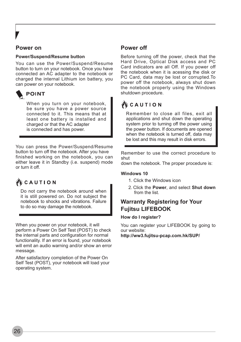#### **Power on**

#### **Power/Suspend/Resume button**

You can use the Power/Suspend/Resume button to turn on your notebook. Once you have connected an AC adapter to the notebook or charged the internal Lithium ion battery, you can power on your notebook.

**POINT** 

When you turn on your notebook. be sure you have a power source connected to it. This means that at least one battery is installed and charged or that the AC adapter is connected and has power.

You can press the Power/Suspend/Resume button to turn off the notebook. After you have finished working on the notebook, you can either leave it in Standby (i.e. suspend) mode or turn it off.

## **炒 C A U T I O N**

Do not carry the notebook around when it is still powered on. Do not subject the notebook to shocks and vibrations. Failure to do so may damage the notebook.

When you power on your notebook, it will perform a Power On Self Test (POST) to check the internal parts and configuration for normal functionality. If an error is found, your notebook will emit an audio warning and/or show an error message.

After satisfactory completion of the Power On Self Test (POST), your notebook will load your operating system.

#### **Power off**

Before turning off the power, check that the Hard Drive, Optical Disk access and PC Card indicators are all Off. If you power off the notebook when it is acessing the disk or PC Card, data may be lost or corrupted.To power off the notebook, always shut down the notebook properly using the Windows shutdown procedure.

## **WE CAUTION**

Remember to close all files, exit all applications and shut down the operating system prior to turning off the power using the power button. If documents are opened when the notebook is turned off, data may be lost and this may result in disk errors.

Remember to use the correct procedure to shut

down the notebook. The proper procedure is:

#### **Windows 10**

- 1. Click the Windows icon
- 2. Click the **Power**, and select **Shut down**  from the list.

#### **Warranty Registering for Your Fujitsu LIFEBOOK**

#### **How do I register?**

You can register your LIFEBOOK by going to our website: **http://ww3.fujitsu-pcap.com.hk/SUP/**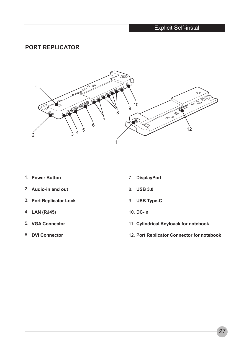## Explicit Self-instal

#### **PORT REPLICATOR**



- **Power Button** 1.
- **Audio-in and out** 2.
- **Port Replicator Lock** 3.
- **LAN (RJ45)**  4.
- **VGA Connector** 5.
- **DVI Connector** 6.
- **DisplayPort** 7.
- **USB 3.0**  8.
- **USB Type-C** 9.
- **DC-in**  10.
- **Cylindrical Keyloack for notebook** 11.
- **Port Replicator Connector for notebook** 12.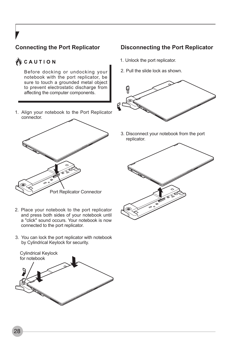## **Connecting the Port Replicator**

## **WCAUTION**

Before docking or undocking your notebook with the port replicator, be sure to touch a grounded metal object to prevent electrostatic discharge from affecting the computer components.

Align your notebook to the Port Replicator 1. connector.



- 2. Place your notebook to the port replicator and press both sides of your notebook until a "click" sound occurs. Your notebook is now connected to the port replicator.
- 3. You can lock the port replicator with notebook by Cylindrical Keylock for security.



#### **Disconnecting the Port Replicator**

- 1. Unlock the port replicator.
- 2. Pull the slide lock as shown.



3. Disconnect your notebook from the port replicator.

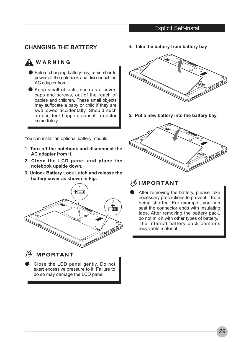#### Explicit Self-instal

#### **CHANGING THE BATTERY**

## **A** WARNING

- Before changing battery bay, remember to power off the notebook and disconnect the AC adapter from it.
- Keep small objects, such as a cover, caps and screws, out of the reach of babies and children. These small objects may suffocate a baby or child if they are swallowed accidentally. Should such an accident happen, consult a doctor immediately.

You can install an optional battery module.

- **1. Turn off the notebook and disconnect the AC adapter from it.**
- **2. Close the LCD panel and place the notebook upside down.**
- **3. Unlock Battery Lock Latch and release the battery cover as shown in Fig.**



## **IMPORTANT**

Close the LCD panel gently. Do not exert excessive pressure to it. Failure to do so may damage the LCD panel.

**4. Take the battery from battery bay** 



**5. Put a new battery into the battery bay.**



## **IMPORTANT**

After removing the battery, please take necessary precautions to prevent it from being shorted. For example, you can seal the connector ends with insulating tape. After removing the battery pack, do not mix it with other types of battery. The internal battery pack contains recyclable material.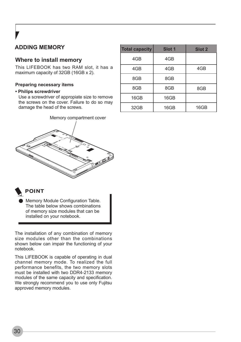## **ADDING MEMORY**

#### **Where to install memory**

This LIFEBOOK has two RAM slot, it has a maximum capacity of 32GB (16GB x 2).

#### **Preparing necessary items**

#### **• Philips screwdriver**

Use a screwdriver of appropiate size to remove the screws on the cover. Failure to do so may damage the head of the screws.



| <b>Total capacity</b> | Slot <sub>1</sub> | Slot 2 |
|-----------------------|-------------------|--------|
| 4GB                   | 4GB               |        |
| 4GB                   | 4GB               | 4GB    |
| 8GB                   | 8GB               |        |
| 8GB                   | 8GB               | 8GB    |
| 16GB                  | 16GB              |        |
| 32GB                  | 16GB              | 16GB   |

## **POINT**

Memory Module Configuration Table. The table below shows combinations of memory size modules that can be installed on your notebook.

The installation of any combination of memory size modules other than the combinations shown below can impair the functioning of your notebook.

This LIFEBOOK is capable of operating in dual channel memory mode. To realized the full performance benefits, the two memory slots must be installed with two DDR4-2133 memory modules of the same capacity and specification. We strongly recommend you to use only Fujitsu approved memory modules.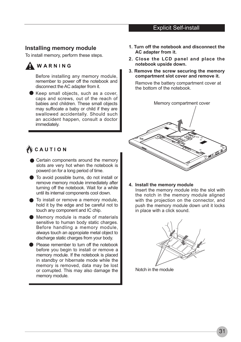#### Explicit Self-install

#### **Installing memory module**

To install memory, perform these steps.



Before installing any memory module, remember to power off the notebook and disconnect the AC adapter from it.

- Keep small objects, such as a cover, caps and screws, out of the reach of babies and children. These small objects may suffocate a baby or child if they are swallowed accidentally. Should such an accident happen, consult a doctor immediately.
- CAUTION
	- Certain components around the memory slots are very hot when the notebook is powerd on for a long period of time.
	- To avoid possible burns, do not install or remove memory module immediately after turning off the notebook. Wait for a while until its internal components cool down.
	- To install or remove a memory module, hold it by the edge and be careful not to touch any component and IC chip.
	- Memory module is made of materials sensitive to human body static charges. Before handling a memory module, always touch an appropiate metal object to discharge static charges from your body.
	- **•** Please remember to turn off the notebook before you begin to install or remove a memory module. If the notebook is placed in standby or hibernate mode while the memory is removed, data may be lost or corrupted. This may also damage the memory module.
- **1. Turn off the notebook and disconnect the AC adapter from it.**
- **2. Close the LCD panel and place the notebook upside down.**
- **3. Remove the screw securing the memory compartment slot cover and remove it.**

Remove the battery compartment cover at the bottom of the notebook.



**4. Install the memory module**

Insert the memory module into the slot with the notch in the memory module aligned with the projection on the connector, and push the memory module down unit it locks in place with a click sound.



Notch in the module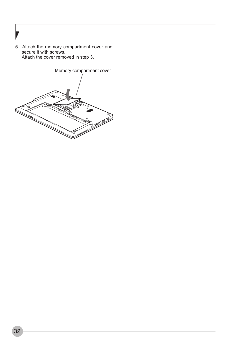5. Attach the memory compartment cover and secure it with screws. Attach the cover removed in step 3.